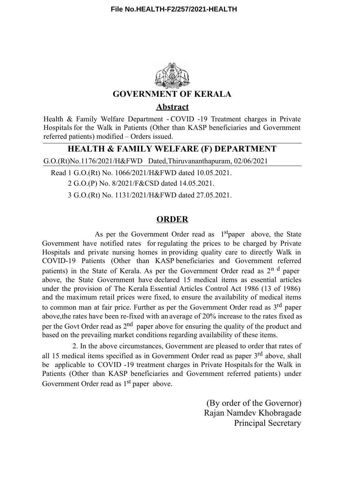

**Abstract**

Health & Family Welfare Department - COVID -19 Treatment charges in Private Hospitals for the Walk in Patients (Other than KASP beneficiaries and Government referred patients) modified – Orders issued.

## **HEALTH & FAMILY WELFARE (F) DEPARTMENT**

G.O.(Rt)No.1176/2021/H&FWD Dated,Thiruvananthapuram, 02/06/2021

Read 1 G.O.(Rt) No. 1066/2021/H&FWD dated 10.05.2021.

2 G.O.(P) No. 8/2021/F&CSD dated 14.05.2021.

3 G.O.(Rt) No. 1131/2021/H&FWD dated 27.05.2021.

## **ORDER**

As per the Government Order read as 1<sup>st</sup>paper above, the State Government have notified rates for regulating the prices to be charged by Private Hospitals and private nursing homes in providing quality care to directly Walk in COVID-19 Patients (Other than KASP beneficiaries and Government referred patients) in the State of Kerala. As per the Government Order read as 2<sup>n d</sup> paper above, the State Government have declared 15 medical items as essential articles under the provision of The Kerala Essential Articles Control Act 1986 (13 of 1986) and the maximum retail prices were fixed, to ensure the availability of medical items to common man at fair price. Further as per the Government Order read as 3<sup>rd</sup> paper above,the rates have been re-fixed with an average of 20% increase to the rates fixed as per the Govt Order read as 2<sup>nd</sup> paper above for ensuring the quality of the product and based on the prevailing market conditions regarding availability of these items.

2. In the above circumstances, Government are pleased to order that rates of all 15 medical items specified as in Government Order read as paper 3<sup>rd</sup> above, shall be applicable to COVID -19 treatment charges in Private Hospitals for the Walk in Patients (Other than KASP beneficiaries and Government referred patients) under Government Order read as 1<sup>st</sup> paper above.

> (By order of the Governor) Rajan Namdev Khobragade Principal Secretary